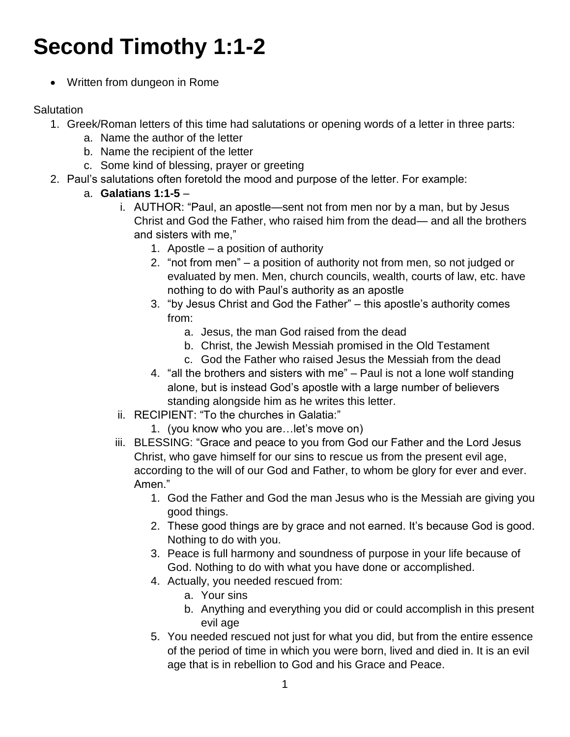# **Second Timothy 1:1-2**

Written from dungeon in Rome

## **Salutation**

- 1. Greek/Roman letters of this time had salutations or opening words of a letter in three parts:
	- a. Name the author of the letter
	- b. Name the recipient of the letter
	- c. Some kind of blessing, prayer or greeting
- 2. Paul's salutations often foretold the mood and purpose of the letter. For example:
	- a. **Galatians 1:1-5**
		- i. AUTHOR: "Paul, an apostle—sent not from men nor by a man, but by Jesus Christ and God the Father, who raised him from the dead— and all the brothers and sisters with me,"
			- 1. Apostle a position of authority
			- 2. "not from men" a position of authority not from men, so not judged or evaluated by men. Men, church councils, wealth, courts of law, etc. have nothing to do with Paul's authority as an apostle
			- 3. "by Jesus Christ and God the Father" this apostle's authority comes from:
				- a. Jesus, the man God raised from the dead
				- b. Christ, the Jewish Messiah promised in the Old Testament
				- c. God the Father who raised Jesus the Messiah from the dead
			- 4. "all the brothers and sisters with me" Paul is not a lone wolf standing alone, but is instead God's apostle with a large number of believers standing alongside him as he writes this letter.
		- ii. RECIPIENT: "To the churches in Galatia:"
			- 1. (you know who you are…let's move on)
		- iii. BLESSING: "Grace and peace to you from God our Father and the Lord Jesus Christ, who gave himself for our sins to rescue us from the present evil age, according to the will of our God and Father, to whom be glory for ever and ever. Amen<sup>"</sup>
			- 1. God the Father and God the man Jesus who is the Messiah are giving you good things.
			- 2. These good things are by grace and not earned. It's because God is good. Nothing to do with you.
			- 3. Peace is full harmony and soundness of purpose in your life because of God. Nothing to do with what you have done or accomplished.
			- 4. Actually, you needed rescued from:
				- a. Your sins
				- b. Anything and everything you did or could accomplish in this present evil age
			- 5. You needed rescued not just for what you did, but from the entire essence of the period of time in which you were born, lived and died in. It is an evil age that is in rebellion to God and his Grace and Peace.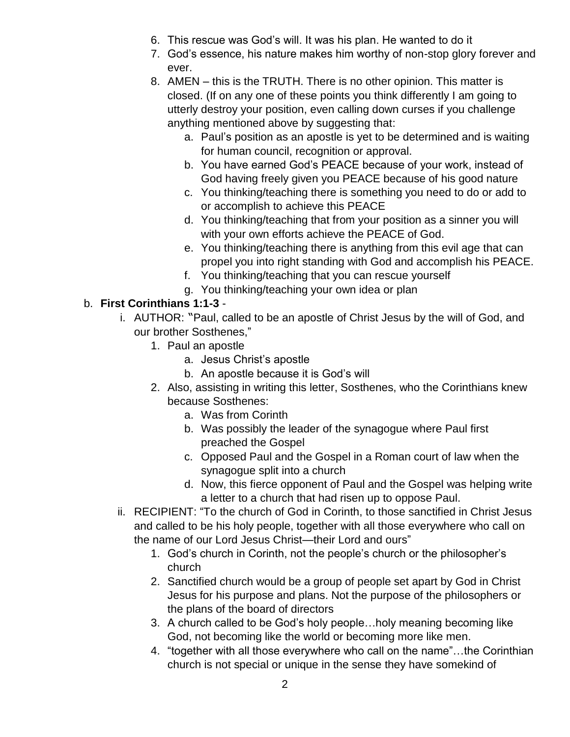- 6. This rescue was God's will. It was his plan. He wanted to do it
- 7. God's essence, his nature makes him worthy of non-stop glory forever and ever.
- 8. AMEN this is the TRUTH. There is no other opinion. This matter is closed. (If on any one of these points you think differently I am going to utterly destroy your position, even calling down curses if you challenge anything mentioned above by suggesting that:
	- a. Paul's position as an apostle is yet to be determined and is waiting for human council, recognition or approval.
	- b. You have earned God's PEACE because of your work, instead of God having freely given you PEACE because of his good nature
	- c. You thinking/teaching there is something you need to do or add to or accomplish to achieve this PEACE
	- d. You thinking/teaching that from your position as a sinner you will with your own efforts achieve the PEACE of God.
	- e. You thinking/teaching there is anything from this evil age that can propel you into right standing with God and accomplish his PEACE.
	- f. You thinking/teaching that you can rescue yourself
	- g. You thinking/teaching your own idea or plan

# b. **First Corinthians 1:1-3** -

- i. AUTHOR: "Paul, called to be an apostle of Christ Jesus by the will of God, and our brother Sosthenes,"
	- 1. Paul an apostle
		- a. Jesus Christ's apostle
		- b. An apostle because it is God's will
	- 2. Also, assisting in writing this letter, Sosthenes, who the Corinthians knew because Sosthenes:
		- a. Was from Corinth
		- b. Was possibly the leader of the synagogue where Paul first preached the Gospel
		- c. Opposed Paul and the Gospel in a Roman court of law when the synagogue split into a church
		- d. Now, this fierce opponent of Paul and the Gospel was helping write a letter to a church that had risen up to oppose Paul.
- ii. RECIPIENT: "To the church of God in Corinth, to those sanctified in Christ Jesus and called to be his holy people, together with all those everywhere who call on the name of our Lord Jesus Christ—their Lord and ours"
	- 1. God's church in Corinth, not the people's church or the philosopher's church
	- 2. Sanctified church would be a group of people set apart by God in Christ Jesus for his purpose and plans. Not the purpose of the philosophers or the plans of the board of directors
	- 3. A church called to be God's holy people…holy meaning becoming like God, not becoming like the world or becoming more like men.
	- 4. "together with all those everywhere who call on the name"…the Corinthian church is not special or unique in the sense they have somekind of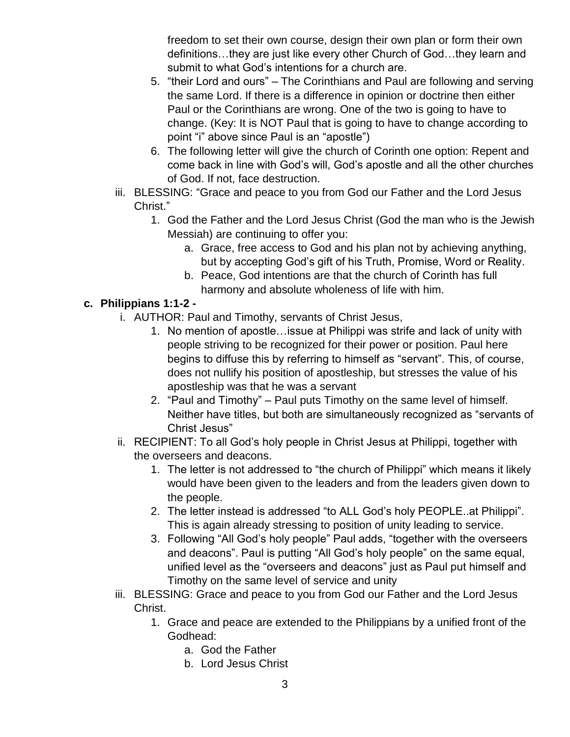freedom to set their own course, design their own plan or form their own definitions…they are just like every other Church of God…they learn and submit to what God's intentions for a church are.

- 5. "their Lord and ours" The Corinthians and Paul are following and serving the same Lord. If there is a difference in opinion or doctrine then either Paul or the Corinthians are wrong. One of the two is going to have to change. (Key: It is NOT Paul that is going to have to change according to point "i" above since Paul is an "apostle")
- 6. The following letter will give the church of Corinth one option: Repent and come back in line with God's will, God's apostle and all the other churches of God. If not, face destruction.
- iii. BLESSING: "Grace and peace to you from God our Father and the Lord Jesus Christ."
	- 1. God the Father and the Lord Jesus Christ (God the man who is the Jewish Messiah) are continuing to offer you:
		- a. Grace, free access to God and his plan not by achieving anything, but by accepting God's gift of his Truth, Promise, Word or Reality.
		- b. Peace, God intentions are that the church of Corinth has full harmony and absolute wholeness of life with him.

## **c. Philippians 1:1-2 -**

- i. AUTHOR: Paul and Timothy, servants of Christ Jesus,
	- 1. No mention of apostle…issue at Philippi was strife and lack of unity with people striving to be recognized for their power or position. Paul here begins to diffuse this by referring to himself as "servant". This, of course, does not nullify his position of apostleship, but stresses the value of his apostleship was that he was a servant
	- 2. "Paul and Timothy" Paul puts Timothy on the same level of himself. Neither have titles, but both are simultaneously recognized as "servants of Christ Jesus"
- ii. RECIPIENT: To all God's holy people in Christ Jesus at Philippi, together with the overseers and deacons.
	- 1. The letter is not addressed to "the church of Philippi" which means it likely would have been given to the leaders and from the leaders given down to the people.
	- 2. The letter instead is addressed "to ALL God's holy PEOPLE..at Philippi". This is again already stressing to position of unity leading to service.
	- 3. Following "All God's holy people" Paul adds, "together with the overseers and deacons". Paul is putting "All God's holy people" on the same equal, unified level as the "overseers and deacons" just as Paul put himself and Timothy on the same level of service and unity
- iii. BLESSING: Grace and peace to you from God our Father and the Lord Jesus Christ.
	- 1. Grace and peace are extended to the Philippians by a unified front of the Godhead:
		- a. God the Father
		- b. Lord Jesus Christ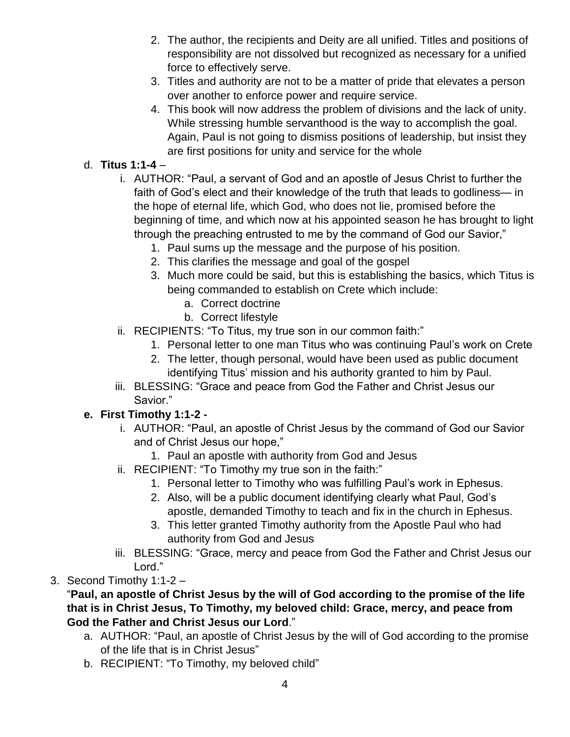- 2. The author, the recipients and Deity are all unified. Titles and positions of responsibility are not dissolved but recognized as necessary for a unified force to effectively serve.
- 3. Titles and authority are not to be a matter of pride that elevates a person over another to enforce power and require service.
- 4. This book will now address the problem of divisions and the lack of unity. While stressing humble servanthood is the way to accomplish the goal. Again, Paul is not going to dismiss positions of leadership, but insist they are first positions for unity and service for the whole

# d. **Titus 1:1-4** –

- i. AUTHOR: "Paul, a servant of God and an apostle of Jesus Christ to further the faith of God's elect and their knowledge of the truth that leads to godliness— in the hope of eternal life, which God, who does not lie, promised before the beginning of time, and which now at his appointed season he has brought to light through the preaching entrusted to me by the command of God our Savior,"
	- 1. Paul sums up the message and the purpose of his position.
	- 2. This clarifies the message and goal of the gospel
	- 3. Much more could be said, but this is establishing the basics, which Titus is being commanded to establish on Crete which include:
		- a. Correct doctrine
		- b. Correct lifestyle
- ii. RECIPIENTS: "To Titus, my true son in our common faith:"
	- 1. Personal letter to one man Titus who was continuing Paul's work on Crete
	- 2. The letter, though personal, would have been used as public document identifying Titus' mission and his authority granted to him by Paul.
- iii. BLESSING: "Grace and peace from God the Father and Christ Jesus our Savior."

## **e. First Timothy 1:1-2 -**

- i. AUTHOR: "Paul, an apostle of Christ Jesus by the command of God our Savior and of Christ Jesus our hope,"
	- 1. Paul an apostle with authority from God and Jesus
- ii. RECIPIENT: "To Timothy my true son in the faith:"
	- 1. Personal letter to Timothy who was fulfilling Paul's work in Ephesus.
	- 2. Also, will be a public document identifying clearly what Paul, God's apostle, demanded Timothy to teach and fix in the church in Ephesus.
	- 3. This letter granted Timothy authority from the Apostle Paul who had authority from God and Jesus
- iii. BLESSING: "Grace, mercy and peace from God the Father and Christ Jesus our Lord."
- 3. Second Timothy 1:1-2 –

#### "**Paul, an apostle of Christ Jesus by the will of God according to the promise of the life that is in Christ Jesus, To Timothy, my beloved child: Grace, mercy, and peace from God the Father and Christ Jesus our Lord**."

- a. AUTHOR: "Paul, an apostle of Christ Jesus by the will of God according to the promise of the life that is in Christ Jesus"
- b. RECIPIENT: "To Timothy, my beloved child"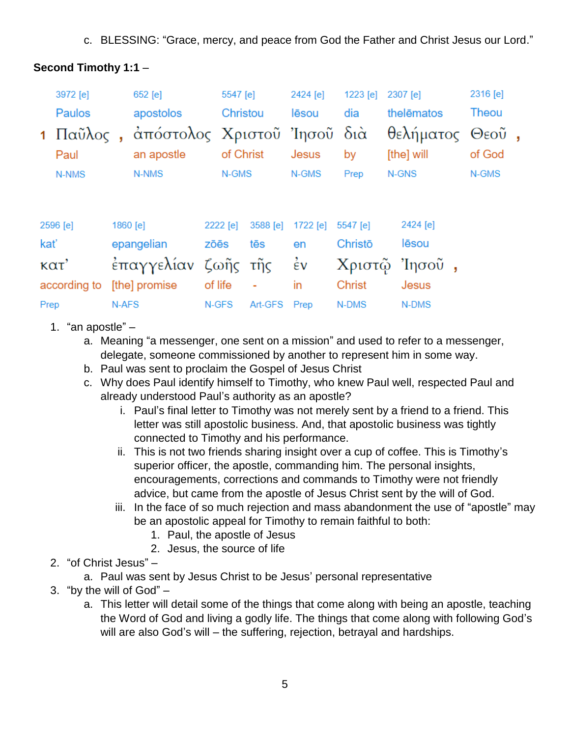c. BLESSING: "Grace, mercy, and peace from God the Father and Christ Jesus our Lord."

# **Second Timothy 1:1** –

|              | 3972 [e]<br><b>Paulos</b> |                        | 652 [e]<br>apostolos                                          |  | 5547 [e]<br>Christou |          | 2424 [e]<br>lēsou | 1223 [e]<br>dia |  | $2307$ [e]<br>thelēmatos      | 2316 [e]<br>Theou |  |
|--------------|---------------------------|------------------------|---------------------------------------------------------------|--|----------------------|----------|-------------------|-----------------|--|-------------------------------|-------------------|--|
|              | Paul                      |                        | 1 Παῦλος , ἀπόστολος Χριστοῦ Ἰησοῦ διὰ<br>an apostle<br>N-NMS |  | of Christ            |          | Jesus             | by              |  | θελήματος Θεοῦ,<br>[the] will | of God            |  |
|              | N-NMS                     |                        |                                                               |  | N-GMS                |          | N-GMS             | Prep            |  | N-GNS                         | N-GMS             |  |
|              |                           |                        |                                                               |  |                      |          |                   |                 |  |                               |                   |  |
|              | 2596 [e]                  | 1860 [e]               |                                                               |  | 2222 [e]             | 3588 [e] | 1722 [e]          | 5547 [e]        |  | 2424 [e]                      |                   |  |
| kať          |                           |                        | epangelian                                                    |  | zōēs                 | tēs      | en                | Christō         |  | lēsou                         |                   |  |
| κατ'         |                           | έπαγγελίαν ζωῆς τῆς έν |                                                               |  |                      |          |                   | Χριστῷ Ίησοῦ,   |  |                               |                   |  |
| according to |                           |                        | [the] promise<br>of life                                      |  |                      | ٠        | in                | <b>Christ</b>   |  | <b>Jesus</b>                  |                   |  |
| Prep         |                           |                        | N-AFS                                                         |  | N-GFS                | Art-GFS  | Prep              | N-DMS           |  | N-DMS                         |                   |  |

## 1. "an apostle" –

- a. Meaning "a messenger, one sent on a mission" and used to refer to a messenger, delegate, someone commissioned by another to represent him in some way.
- b. Paul was sent to proclaim the Gospel of Jesus Christ
- c. Why does Paul identify himself to Timothy, who knew Paul well, respected Paul and already understood Paul's authority as an apostle?
	- i. Paul's final letter to Timothy was not merely sent by a friend to a friend. This letter was still apostolic business. And, that apostolic business was tightly connected to Timothy and his performance.
	- ii. This is not two friends sharing insight over a cup of coffee. This is Timothy's superior officer, the apostle, commanding him. The personal insights, encouragements, corrections and commands to Timothy were not friendly advice, but came from the apostle of Jesus Christ sent by the will of God.
	- iii. In the face of so much rejection and mass abandonment the use of "apostle" may be an apostolic appeal for Timothy to remain faithful to both:
		- 1. Paul, the apostle of Jesus
		- 2. Jesus, the source of life

## 2. "of Christ Jesus" –

- a. Paul was sent by Jesus Christ to be Jesus' personal representative
- 3. "by the will of God"
	- a. This letter will detail some of the things that come along with being an apostle, teaching the Word of God and living a godly life. The things that come along with following God's will are also God's will – the suffering, rejection, betrayal and hardships.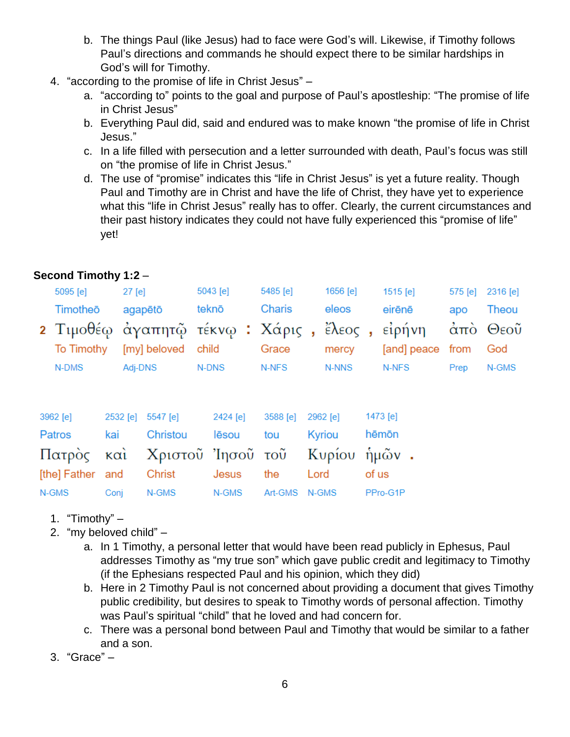- b. The things Paul (like Jesus) had to face were God's will. Likewise, if Timothy follows Paul's directions and commands he should expect there to be similar hardships in God's will for Timothy.
- 4. "according to the promise of life in Christ Jesus"
	- a. "according to" points to the goal and purpose of Paul's apostleship: "The promise of life in Christ Jesus"
	- b. Everything Paul did, said and endured was to make known "the promise of life in Christ Jesus."
	- c. In a life filled with persecution and a letter surrounded with death, Paul's focus was still on "the promise of life in Christ Jesus."
	- d. The use of "promise" indicates this "life in Christ Jesus" is yet a future reality. Though Paul and Timothy are in Christ and have the life of Christ, they have yet to experience what this "life in Christ Jesus" really has to offer. Clearly, the current circumstances and their past history indicates they could not have fully experienced this "promise of life" yet!

#### **Second Timothy 1:2** –

|  | 5095 [e]            |          | $27$ [e]                |                   |       | 5043 [e] |  | 5485 [e]      |      | 1656 [e] |       | $1515$ [e]                                     | 575 [e] | 2316 [e] |  |
|--|---------------------|----------|-------------------------|-------------------|-------|----------|--|---------------|------|----------|-------|------------------------------------------------|---------|----------|--|
|  | Timotheo            |          | agapētō                 |                   | teknō |          |  | <b>Charis</b> |      | eleos    |       | eirēnē                                         | apo     | Theou    |  |
|  |                     |          |                         |                   |       |          |  |               |      |          |       | 2 Τιμοθέω άγαπητῶ τέκνω : Χάρις, ἔλεος, εἰρήνη |         | άπὸ Θεοῦ |  |
|  | To Timothy<br>N-DMS |          | [my] beloved<br>Adj-DNS |                   | child |          |  | Grace         |      | mercy    |       | [and] peace                                    | from    | God      |  |
|  |                     |          |                         |                   |       | N-DNS    |  | N-NFS         |      | N-NNS    |       | N-NFS                                          | Prep    | N-GMS    |  |
|  |                     |          |                         |                   |       |          |  |               |      |          |       |                                                |         |          |  |
|  | 3962 [e]            | 2532 [e] |                         | 5547 [e]          |       | 2424 [e] |  | 3588 [e]      |      | 2962 [e] |       | 1473 [e]                                       |         |          |  |
|  | Patros              | kai      |                         | Christou          |       | lēsou    |  | tou           |      | Kyriou   |       | hēmōn                                          |         |          |  |
|  | Πατρὸς καὶ          |          |                         | Χριστοῦ Ἰησοῦ τοῦ |       |          |  |               |      | Κυρίου   |       | $\mathring{\eta}$ μῶν.                         |         |          |  |
|  | [the] Father and    |          |                         | Christ            |       | Jesus    |  | the           | Lord |          | of us |                                                |         |          |  |
|  | N-GMS               | Conj     |                         | N-GMS             |       | N-GMS    |  | Art-GMS       |      | N-GMS    |       | PPro-G1P                                       |         |          |  |

- 1. "Timothy" –
- 2. "my beloved child"
	- a. In 1 Timothy, a personal letter that would have been read publicly in Ephesus, Paul addresses Timothy as "my true son" which gave public credit and legitimacy to Timothy (if the Ephesians respected Paul and his opinion, which they did)
	- b. Here in 2 Timothy Paul is not concerned about providing a document that gives Timothy public credibility, but desires to speak to Timothy words of personal affection. Timothy was Paul's spiritual "child" that he loved and had concern for.
	- c. There was a personal bond between Paul and Timothy that would be similar to a father and a son.
- 3. "Grace" –